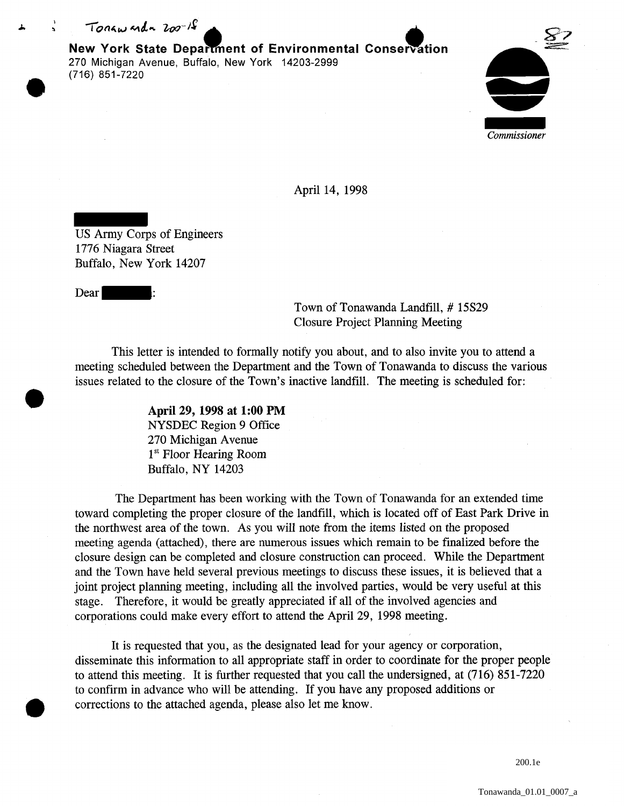I  $To now and a 200 - 18$ 

> **New York State Department of Environmental Conservation** 270 Michigan Avenue, Buffalo, New York 14203-2999 (716) 851-7220



April 14, 1998

US Army Corps of Engineers 1776 Niagara Street Buffalo, New York 14207

Dear |

Town of Tonawanda Landfill, # 15S29 Closure Project Planning Meeting

This letter is intended to formally notify you about, and to also invite you to attend a meeting scheduled between the Department and the Town of Tonawanda to discuss the various issues related to the closure of the Town's inactive landfill. The meeting is scheduled for:

> **April 29, 1998 at 1:00 PM**  NYSDEC Region 9 Office 270 Michigan Avenue 1<sup>st</sup> Floor Hearing Room Buffalo, NY 14203

The Department has been working with the Town of Tonawanda for an extended time toward completing the proper closure of the landfill, which is located off of East Park Drive in the northwest area of the town. As you will note from the items listed on the proposed meeting agenda (attached), there are numerous issues which remain to be finalized before the closure design can be completed and closure construction can proceed. While the Department and the Town have held several previous meetings to discuss these issues, it is believed that a joint project planning meeting, including all the involved parties, would be very useful at this stage. Therefore, it would be greatly appreciated if all of the involved agencies and corporations could make every effort to attend the April 29, 1998 meeting.

It is requested that you, as the designated lead for your agency or corporation, disseminate this information to all appropriate staff in order to coordinate for the proper people to attend this meeting. It is further requested that you call the undersigned, at (716) 851-7220 to confirm in advance who will be attending. If you have any proposed additions or corrections to the attached agenda, please also let me know.